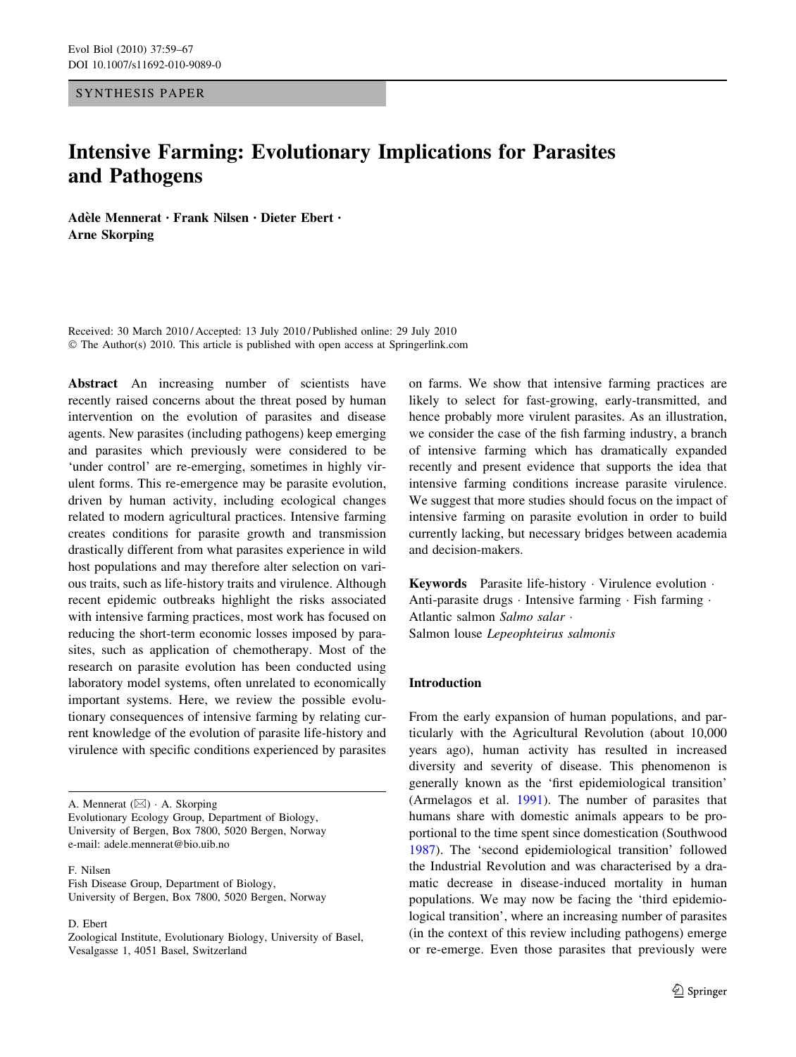## SYNTHESIS PAPER

# Intensive Farming: Evolutionary Implications for Parasites and Pathogens

Adèle Mennerat • Frank Nilsen • Dieter Ebert • Arne Skorping

Received: 30 March 2010 / Accepted: 13 July 2010 / Published online: 29 July 2010 © The Author(s) 2010. This article is published with open access at Springerlink.com

Abstract An increasing number of scientists have recently raised concerns about the threat posed by human intervention on the evolution of parasites and disease agents. New parasites (including pathogens) keep emerging and parasites which previously were considered to be 'under control' are re-emerging, sometimes in highly virulent forms. This re-emergence may be parasite evolution, driven by human activity, including ecological changes related to modern agricultural practices. Intensive farming creates conditions for parasite growth and transmission drastically different from what parasites experience in wild host populations and may therefore alter selection on various traits, such as life-history traits and virulence. Although recent epidemic outbreaks highlight the risks associated with intensive farming practices, most work has focused on reducing the short-term economic losses imposed by parasites, such as application of chemotherapy. Most of the research on parasite evolution has been conducted using laboratory model systems, often unrelated to economically important systems. Here, we review the possible evolutionary consequences of intensive farming by relating current knowledge of the evolution of parasite life-history and virulence with specific conditions experienced by parasites

A. Mennerat  $(\boxtimes) \cdot$  A. Skorping Evolutionary Ecology Group, Department of Biology, University of Bergen, Box 7800, 5020 Bergen, Norway e-mail: adele.mennerat@bio.uib.no

F. Nilsen

Fish Disease Group, Department of Biology, University of Bergen, Box 7800, 5020 Bergen, Norway

D. Ebert

Zoological Institute, Evolutionary Biology, University of Basel, Vesalgasse 1, 4051 Basel, Switzerland

on farms. We show that intensive farming practices are likely to select for fast-growing, early-transmitted, and hence probably more virulent parasites. As an illustration, we consider the case of the fish farming industry, a branch of intensive farming which has dramatically expanded recently and present evidence that supports the idea that intensive farming conditions increase parasite virulence. We suggest that more studies should focus on the impact of intensive farming on parasite evolution in order to build currently lacking, but necessary bridges between academia and decision-makers.

Keywords Parasite life-history - Virulence evolution - Anti-parasite drugs · Intensive farming · Fish farming · Atlantic salmon Salmo salar -Salmon louse Lepeophteirus salmonis

# Introduction

From the early expansion of human populations, and particularly with the Agricultural Revolution (about 10,000 years ago), human activity has resulted in increased diversity and severity of disease. This phenomenon is generally known as the 'first epidemiological transition' (Armelagos et al. [1991\)](#page-6-0). The number of parasites that humans share with domestic animals appears to be proportional to the time spent since domestication (Southwood [1987](#page-8-0)). The 'second epidemiological transition' followed the Industrial Revolution and was characterised by a dramatic decrease in disease-induced mortality in human populations. We may now be facing the 'third epidemiological transition', where an increasing number of parasites (in the context of this review including pathogens) emerge or re-emerge. Even those parasites that previously were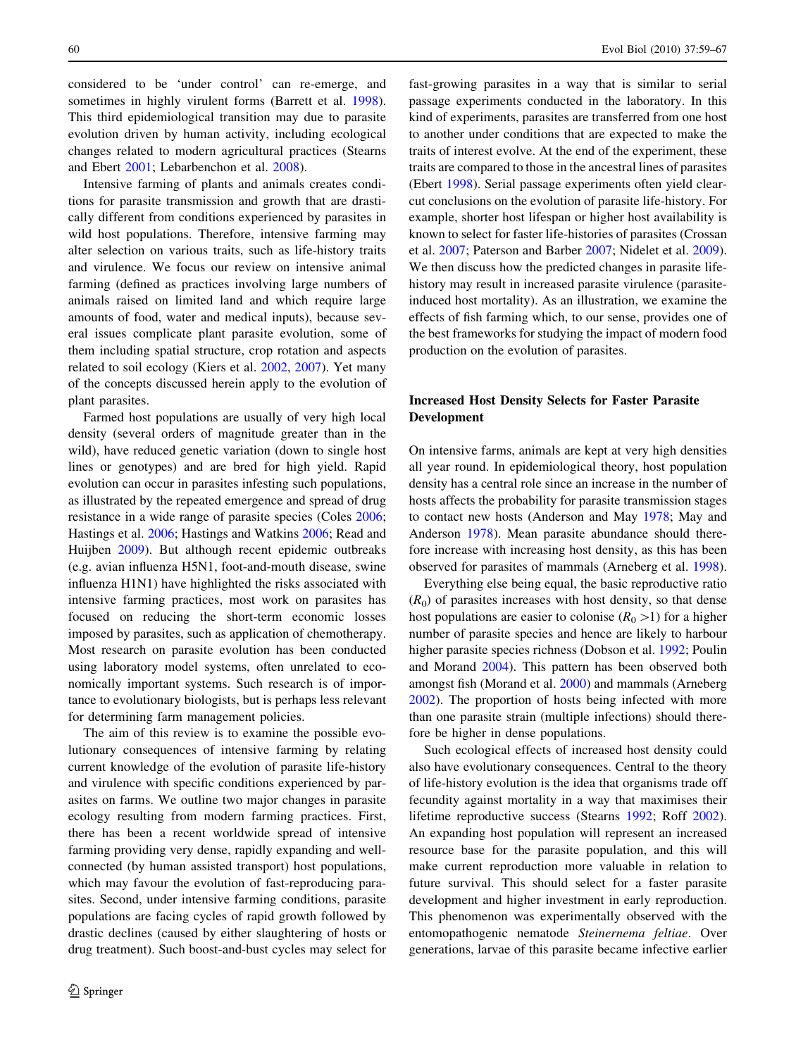considered to be 'under control' can re-emerge, and sometimes in highly virulent forms (Barrett et al. [1998](#page-7-0)). This third epidemiological transition may due to parasite evolution driven by human activity, including ecological changes related to modern agricultural practices (Stearns and Ebert [2001;](#page-8-0) Lebarbenchon et al. [2008](#page-7-0)).

Intensive farming of plants and animals creates conditions for parasite transmission and growth that are drastically different from conditions experienced by parasites in wild host populations. Therefore, intensive farming may alter selection on various traits, such as life-history traits and virulence. We focus our review on intensive animal farming (defined as practices involving large numbers of animals raised on limited land and which require large amounts of food, water and medical inputs), because several issues complicate plant parasite evolution, some of them including spatial structure, crop rotation and aspects related to soil ecology (Kiers et al. [2002](#page-7-0), [2007\)](#page-7-0). Yet many of the concepts discussed herein apply to the evolution of plant parasites.

Farmed host populations are usually of very high local density (several orders of magnitude greater than in the wild), have reduced genetic variation (down to single host lines or genotypes) and are bred for high yield. Rapid evolution can occur in parasites infesting such populations, as illustrated by the repeated emergence and spread of drug resistance in a wide range of parasite species (Coles [2006](#page-7-0); Hastings et al. [2006;](#page-7-0) Hastings and Watkins [2006](#page-7-0); Read and Huijben [2009](#page-8-0)). But although recent epidemic outbreaks (e.g. avian influenza H5N1, foot-and-mouth disease, swine influenza H1N1) have highlighted the risks associated with intensive farming practices, most work on parasites has focused on reducing the short-term economic losses imposed by parasites, such as application of chemotherapy. Most research on parasite evolution has been conducted using laboratory model systems, often unrelated to economically important systems. Such research is of importance to evolutionary biologists, but is perhaps less relevant for determining farm management policies.

The aim of this review is to examine the possible evolutionary consequences of intensive farming by relating current knowledge of the evolution of parasite life-history and virulence with specific conditions experienced by parasites on farms. We outline two major changes in parasite ecology resulting from modern farming practices. First, there has been a recent worldwide spread of intensive farming providing very dense, rapidly expanding and wellconnected (by human assisted transport) host populations, which may favour the evolution of fast-reproducing parasites. Second, under intensive farming conditions, parasite populations are facing cycles of rapid growth followed by drastic declines (caused by either slaughtering of hosts or drug treatment). Such boost-and-bust cycles may select for

fast-growing parasites in a way that is similar to serial passage experiments conducted in the laboratory. In this kind of experiments, parasites are transferred from one host to another under conditions that are expected to make the traits of interest evolve. At the end of the experiment, these traits are compared to those in the ancestral lines of parasites (Ebert [1998](#page-7-0)). Serial passage experiments often yield clearcut conclusions on the evolution of parasite life-history. For example, shorter host lifespan or higher host availability is known to select for faster life-histories of parasites (Crossan et al. [2007;](#page-7-0) Paterson and Barber [2007](#page-8-0); Nidelet et al. [2009](#page-8-0)). We then discuss how the predicted changes in parasite lifehistory may result in increased parasite virulence (parasiteinduced host mortality). As an illustration, we examine the effects of fish farming which, to our sense, provides one of the best frameworks for studying the impact of modern food production on the evolution of parasites.

# Increased Host Density Selects for Faster Parasite Development

On intensive farms, animals are kept at very high densities all year round. In epidemiological theory, host population density has a central role since an increase in the number of hosts affects the probability for parasite transmission stages to contact new hosts (Anderson and May [1978](#page-6-0); May and Anderson [1978](#page-8-0)). Mean parasite abundance should therefore increase with increasing host density, as this has been observed for parasites of mammals (Arneberg et al. [1998](#page-7-0)).

Everything else being equal, the basic reproductive ratio  $(R<sub>0</sub>)$  of parasites increases with host density, so that dense host populations are easier to colonise  $(R_0>1)$  for a higher number of parasite species and hence are likely to harbour higher parasite species richness (Dobson et al. [1992;](#page-7-0) Poulin and Morand [2004\)](#page-8-0). This pattern has been observed both amongst fish (Morand et al. [2000\)](#page-8-0) and mammals (Arneberg [2002](#page-6-0)). The proportion of hosts being infected with more than one parasite strain (multiple infections) should therefore be higher in dense populations.

Such ecological effects of increased host density could also have evolutionary consequences. Central to the theory of life-history evolution is the idea that organisms trade off fecundity against mortality in a way that maximises their lifetime reproductive success (Stearns [1992](#page-8-0); Roff [2002](#page-8-0)). An expanding host population will represent an increased resource base for the parasite population, and this will make current reproduction more valuable in relation to future survival. This should select for a faster parasite development and higher investment in early reproduction. This phenomenon was experimentally observed with the entomopathogenic nematode Steinernema feltiae. Over generations, larvae of this parasite became infective earlier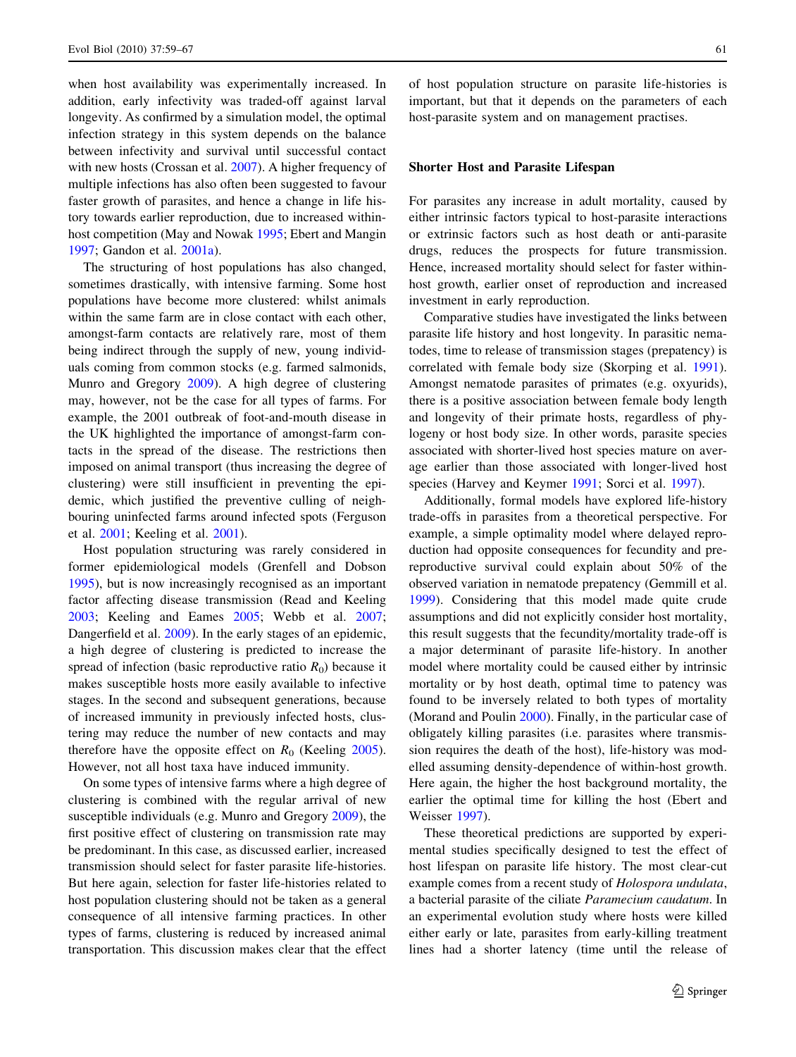when host availability was experimentally increased. In addition, early infectivity was traded-off against larval longevity. As confirmed by a simulation model, the optimal infection strategy in this system depends on the balance between infectivity and survival until successful contact with new hosts (Crossan et al. [2007\)](#page-7-0). A higher frequency of multiple infections has also often been suggested to favour faster growth of parasites, and hence a change in life history towards earlier reproduction, due to increased withinhost competition (May and Nowak [1995](#page-8-0); Ebert and Mangin [1997;](#page-7-0) Gandon et al. [2001a](#page-7-0)).

The structuring of host populations has also changed, sometimes drastically, with intensive farming. Some host populations have become more clustered: whilst animals within the same farm are in close contact with each other. amongst-farm contacts are relatively rare, most of them being indirect through the supply of new, young individuals coming from common stocks (e.g. farmed salmonids, Munro and Gregory [2009](#page-8-0)). A high degree of clustering may, however, not be the case for all types of farms. For example, the 2001 outbreak of foot-and-mouth disease in the UK highlighted the importance of amongst-farm contacts in the spread of the disease. The restrictions then imposed on animal transport (thus increasing the degree of clustering) were still insufficient in preventing the epidemic, which justified the preventive culling of neighbouring uninfected farms around infected spots (Ferguson et al. [2001;](#page-7-0) Keeling et al. [2001](#page-7-0)).

Host population structuring was rarely considered in former epidemiological models (Grenfell and Dobson [1995\)](#page-7-0), but is now increasingly recognised as an important factor affecting disease transmission (Read and Keeling [2003;](#page-8-0) Keeling and Eames [2005;](#page-7-0) Webb et al. [2007](#page-8-0); Dangerfield et al. [2009](#page-7-0)). In the early stages of an epidemic, a high degree of clustering is predicted to increase the spread of infection (basic reproductive ratio  $R_0$ ) because it makes susceptible hosts more easily available to infective stages. In the second and subsequent generations, because of increased immunity in previously infected hosts, clustering may reduce the number of new contacts and may therefore have the opposite effect on  $R_0$  (Keeling [2005](#page-7-0)). However, not all host taxa have induced immunity.

On some types of intensive farms where a high degree of clustering is combined with the regular arrival of new susceptible individuals (e.g. Munro and Gregory [2009](#page-8-0)), the first positive effect of clustering on transmission rate may be predominant. In this case, as discussed earlier, increased transmission should select for faster parasite life-histories. But here again, selection for faster life-histories related to host population clustering should not be taken as a general consequence of all intensive farming practices. In other types of farms, clustering is reduced by increased animal transportation. This discussion makes clear that the effect of host population structure on parasite life-histories is important, but that it depends on the parameters of each host-parasite system and on management practises.

#### Shorter Host and Parasite Lifespan

For parasites any increase in adult mortality, caused by either intrinsic factors typical to host-parasite interactions or extrinsic factors such as host death or anti-parasite drugs, reduces the prospects for future transmission. Hence, increased mortality should select for faster withinhost growth, earlier onset of reproduction and increased investment in early reproduction.

Comparative studies have investigated the links between parasite life history and host longevity. In parasitic nematodes, time to release of transmission stages (prepatency) is correlated with female body size (Skorping et al. [1991](#page-8-0)). Amongst nematode parasites of primates (e.g. oxyurids), there is a positive association between female body length and longevity of their primate hosts, regardless of phylogeny or host body size. In other words, parasite species associated with shorter-lived host species mature on average earlier than those associated with longer-lived host species (Harvey and Keymer [1991;](#page-7-0) Sorci et al. [1997\)](#page-8-0).

Additionally, formal models have explored life-history trade-offs in parasites from a theoretical perspective. For example, a simple optimality model where delayed reproduction had opposite consequences for fecundity and prereproductive survival could explain about 50% of the observed variation in nematode prepatency (Gemmill et al. [1999](#page-7-0)). Considering that this model made quite crude assumptions and did not explicitly consider host mortality, this result suggests that the fecundity/mortality trade-off is a major determinant of parasite life-history. In another model where mortality could be caused either by intrinsic mortality or by host death, optimal time to patency was found to be inversely related to both types of mortality (Morand and Poulin [2000\)](#page-8-0). Finally, in the particular case of obligately killing parasites (i.e. parasites where transmission requires the death of the host), life-history was modelled assuming density-dependence of within-host growth. Here again, the higher the host background mortality, the earlier the optimal time for killing the host (Ebert and Weisser [1997\)](#page-7-0).

These theoretical predictions are supported by experimental studies specifically designed to test the effect of host lifespan on parasite life history. The most clear-cut example comes from a recent study of *Holospora undulata*, a bacterial parasite of the ciliate Paramecium caudatum. In an experimental evolution study where hosts were killed either early or late, parasites from early-killing treatment lines had a shorter latency (time until the release of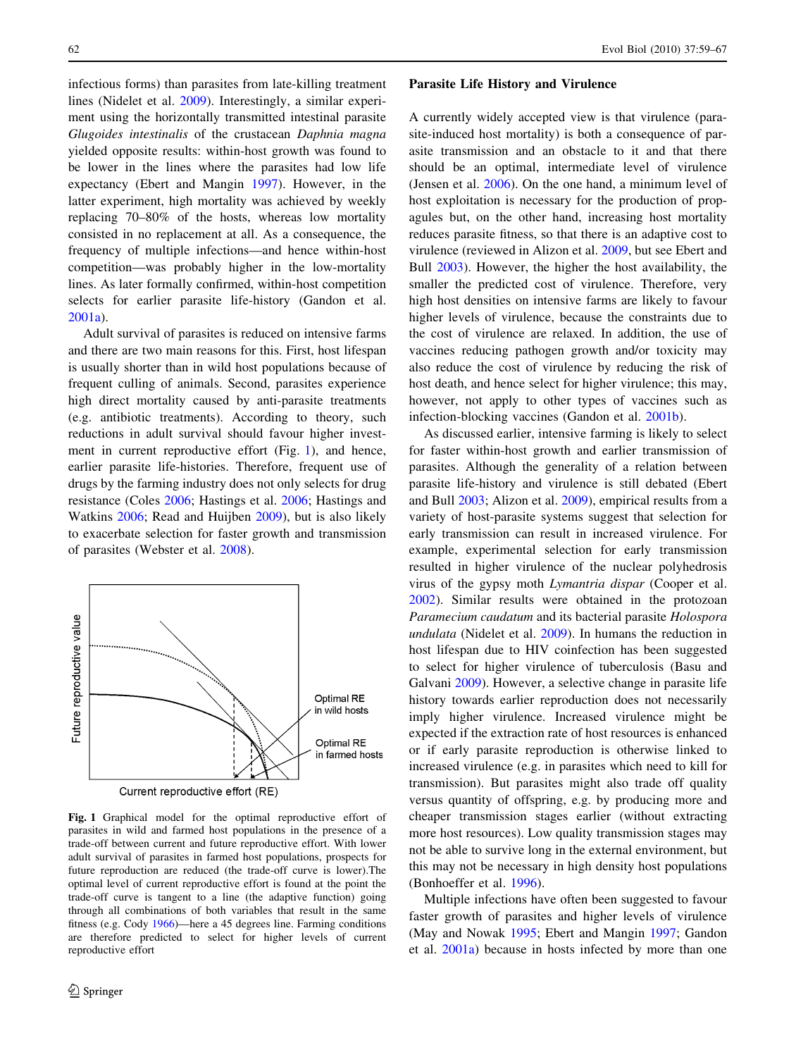infectious forms) than parasites from late-killing treatment lines (Nidelet et al. [2009\)](#page-8-0). Interestingly, a similar experiment using the horizontally transmitted intestinal parasite Glugoides intestinalis of the crustacean Daphnia magna yielded opposite results: within-host growth was found to be lower in the lines where the parasites had low life expectancy (Ebert and Mangin [1997](#page-7-0)). However, in the latter experiment, high mortality was achieved by weekly replacing 70–80% of the hosts, whereas low mortality consisted in no replacement at all. As a consequence, the frequency of multiple infections—and hence within-host competition—was probably higher in the low-mortality lines. As later formally confirmed, within-host competition selects for earlier parasite life-history (Gandon et al. [2001a](#page-7-0)).

Adult survival of parasites is reduced on intensive farms and there are two main reasons for this. First, host lifespan is usually shorter than in wild host populations because of frequent culling of animals. Second, parasites experience high direct mortality caused by anti-parasite treatments (e.g. antibiotic treatments). According to theory, such reductions in adult survival should favour higher investment in current reproductive effort (Fig. 1), and hence, earlier parasite life-histories. Therefore, frequent use of drugs by the farming industry does not only selects for drug resistance (Coles [2006;](#page-7-0) Hastings et al. [2006;](#page-7-0) Hastings and Watkins [2006;](#page-7-0) Read and Huijben [2009](#page-8-0)), but is also likely to exacerbate selection for faster growth and transmission of parasites (Webster et al. [2008\)](#page-8-0).



Fig. 1 Graphical model for the optimal reproductive effort of parasites in wild and farmed host populations in the presence of a trade-off between current and future reproductive effort. With lower adult survival of parasites in farmed host populations, prospects for future reproduction are reduced (the trade-off curve is lower).The optimal level of current reproductive effort is found at the point the trade-off curve is tangent to a line (the adaptive function) going through all combinations of both variables that result in the same fitness (e.g. Cody [1966\)](#page-7-0)—here a 45 degrees line. Farming conditions are therefore predicted to select for higher levels of current reproductive effort

#### Parasite Life History and Virulence

A currently widely accepted view is that virulence (parasite-induced host mortality) is both a consequence of parasite transmission and an obstacle to it and that there should be an optimal, intermediate level of virulence (Jensen et al. [2006](#page-7-0)). On the one hand, a minimum level of host exploitation is necessary for the production of propagules but, on the other hand, increasing host mortality reduces parasite fitness, so that there is an adaptive cost to virulence (reviewed in Alizon et al. [2009](#page-6-0), but see Ebert and Bull [2003](#page-7-0)). However, the higher the host availability, the smaller the predicted cost of virulence. Therefore, very high host densities on intensive farms are likely to favour higher levels of virulence, because the constraints due to the cost of virulence are relaxed. In addition, the use of vaccines reducing pathogen growth and/or toxicity may also reduce the cost of virulence by reducing the risk of host death, and hence select for higher virulence; this may, however, not apply to other types of vaccines such as infection-blocking vaccines (Gandon et al. [2001b](#page-7-0)).

As discussed earlier, intensive farming is likely to select for faster within-host growth and earlier transmission of parasites. Although the generality of a relation between parasite life-history and virulence is still debated (Ebert and Bull [2003;](#page-7-0) Alizon et al. [2009](#page-6-0)), empirical results from a variety of host-parasite systems suggest that selection for early transmission can result in increased virulence. For example, experimental selection for early transmission resulted in higher virulence of the nuclear polyhedrosis virus of the gypsy moth Lymantria dispar (Cooper et al. [2002](#page-7-0)). Similar results were obtained in the protozoan Paramecium caudatum and its bacterial parasite Holospora undulata (Nidelet et al. [2009\)](#page-8-0). In humans the reduction in host lifespan due to HIV coinfection has been suggested to select for higher virulence of tuberculosis (Basu and Galvani [2009](#page-7-0)). However, a selective change in parasite life history towards earlier reproduction does not necessarily imply higher virulence. Increased virulence might be expected if the extraction rate of host resources is enhanced or if early parasite reproduction is otherwise linked to increased virulence (e.g. in parasites which need to kill for transmission). But parasites might also trade off quality versus quantity of offspring, e.g. by producing more and cheaper transmission stages earlier (without extracting more host resources). Low quality transmission stages may not be able to survive long in the external environment, but this may not be necessary in high density host populations (Bonhoeffer et al. [1996](#page-7-0)).

Multiple infections have often been suggested to favour faster growth of parasites and higher levels of virulence (May and Nowak [1995;](#page-8-0) Ebert and Mangin [1997](#page-7-0); Gandon et al. [2001a](#page-7-0)) because in hosts infected by more than one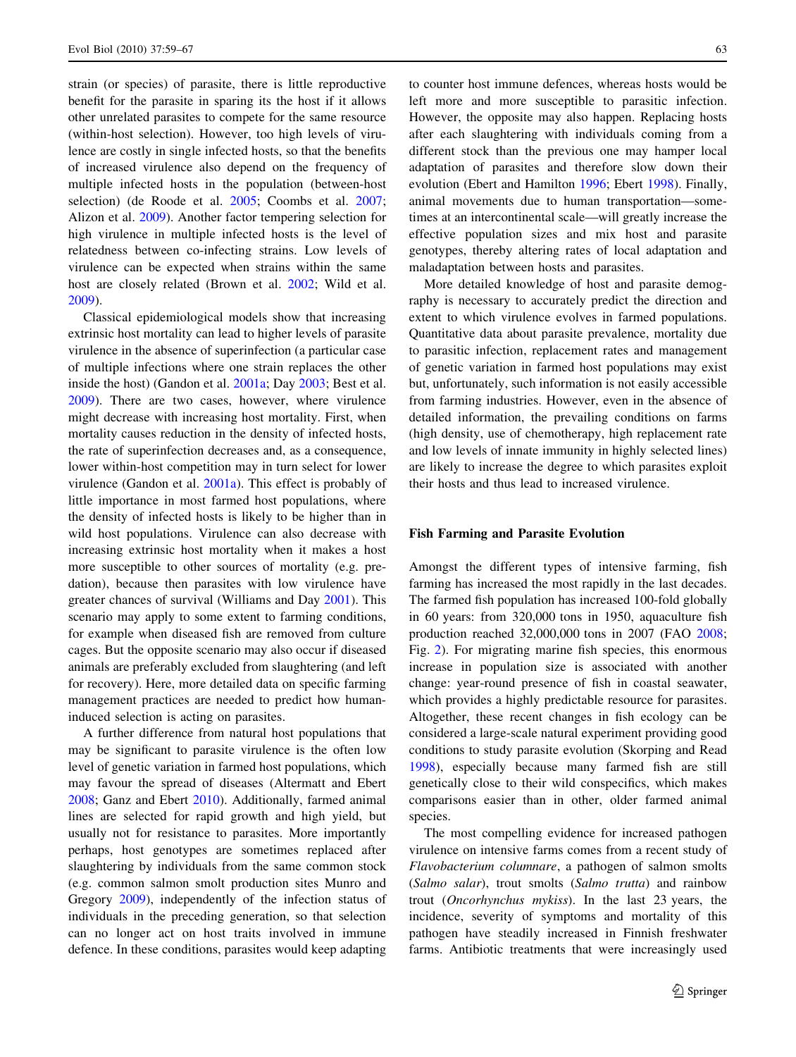strain (or species) of parasite, there is little reproductive benefit for the parasite in sparing its the host if it allows other unrelated parasites to compete for the same resource (within-host selection). However, too high levels of virulence are costly in single infected hosts, so that the benefits of increased virulence also depend on the frequency of multiple infected hosts in the population (between-host selection) (de Roode et al. [2005](#page-7-0); Coombs et al. [2007](#page-7-0); Alizon et al. [2009](#page-6-0)). Another factor tempering selection for high virulence in multiple infected hosts is the level of relatedness between co-infecting strains. Low levels of virulence can be expected when strains within the same host are closely related (Brown et al. [2002](#page-7-0); Wild et al. [2009\)](#page-8-0).

Classical epidemiological models show that increasing extrinsic host mortality can lead to higher levels of parasite virulence in the absence of superinfection (a particular case of multiple infections where one strain replaces the other inside the host) (Gandon et al. [2001a](#page-7-0); Day [2003;](#page-7-0) Best et al. [2009\)](#page-7-0). There are two cases, however, where virulence might decrease with increasing host mortality. First, when mortality causes reduction in the density of infected hosts, the rate of superinfection decreases and, as a consequence, lower within-host competition may in turn select for lower virulence (Gandon et al. [2001a\)](#page-7-0). This effect is probably of little importance in most farmed host populations, where the density of infected hosts is likely to be higher than in wild host populations. Virulence can also decrease with increasing extrinsic host mortality when it makes a host more susceptible to other sources of mortality (e.g. predation), because then parasites with low virulence have greater chances of survival (Williams and Day [2001\)](#page-8-0). This scenario may apply to some extent to farming conditions, for example when diseased fish are removed from culture cages. But the opposite scenario may also occur if diseased animals are preferably excluded from slaughtering (and left for recovery). Here, more detailed data on specific farming management practices are needed to predict how humaninduced selection is acting on parasites.

A further difference from natural host populations that may be significant to parasite virulence is the often low level of genetic variation in farmed host populations, which may favour the spread of diseases (Altermatt and Ebert [2008;](#page-6-0) Ganz and Ebert [2010](#page-7-0)). Additionally, farmed animal lines are selected for rapid growth and high yield, but usually not for resistance to parasites. More importantly perhaps, host genotypes are sometimes replaced after slaughtering by individuals from the same common stock (e.g. common salmon smolt production sites Munro and Gregory [2009](#page-8-0)), independently of the infection status of individuals in the preceding generation, so that selection can no longer act on host traits involved in immune defence. In these conditions, parasites would keep adapting to counter host immune defences, whereas hosts would be left more and more susceptible to parasitic infection. However, the opposite may also happen. Replacing hosts after each slaughtering with individuals coming from a different stock than the previous one may hamper local adaptation of parasites and therefore slow down their evolution (Ebert and Hamilton [1996;](#page-7-0) Ebert [1998](#page-7-0)). Finally, animal movements due to human transportation—sometimes at an intercontinental scale—will greatly increase the effective population sizes and mix host and parasite genotypes, thereby altering rates of local adaptation and maladaptation between hosts and parasites.

More detailed knowledge of host and parasite demography is necessary to accurately predict the direction and extent to which virulence evolves in farmed populations. Quantitative data about parasite prevalence, mortality due to parasitic infection, replacement rates and management of genetic variation in farmed host populations may exist but, unfortunately, such information is not easily accessible from farming industries. However, even in the absence of detailed information, the prevailing conditions on farms (high density, use of chemotherapy, high replacement rate and low levels of innate immunity in highly selected lines) are likely to increase the degree to which parasites exploit their hosts and thus lead to increased virulence.

#### Fish Farming and Parasite Evolution

Amongst the different types of intensive farming, fish farming has increased the most rapidly in the last decades. The farmed fish population has increased 100-fold globally in 60 years: from 320,000 tons in 1950, aquaculture fish production reached 32,000,000 tons in 2007 (FAO [2008](#page-7-0); Fig. [2](#page-5-0)). For migrating marine fish species, this enormous increase in population size is associated with another change: year-round presence of fish in coastal seawater, which provides a highly predictable resource for parasites. Altogether, these recent changes in fish ecology can be considered a large-scale natural experiment providing good conditions to study parasite evolution (Skorping and Read [1998](#page-8-0)), especially because many farmed fish are still genetically close to their wild conspecifics, which makes comparisons easier than in other, older farmed animal species.

The most compelling evidence for increased pathogen virulence on intensive farms comes from a recent study of Flavobacterium columnare, a pathogen of salmon smolts (Salmo salar), trout smolts (Salmo trutta) and rainbow trout (Oncorhynchus mykiss). In the last 23 years, the incidence, severity of symptoms and mortality of this pathogen have steadily increased in Finnish freshwater farms. Antibiotic treatments that were increasingly used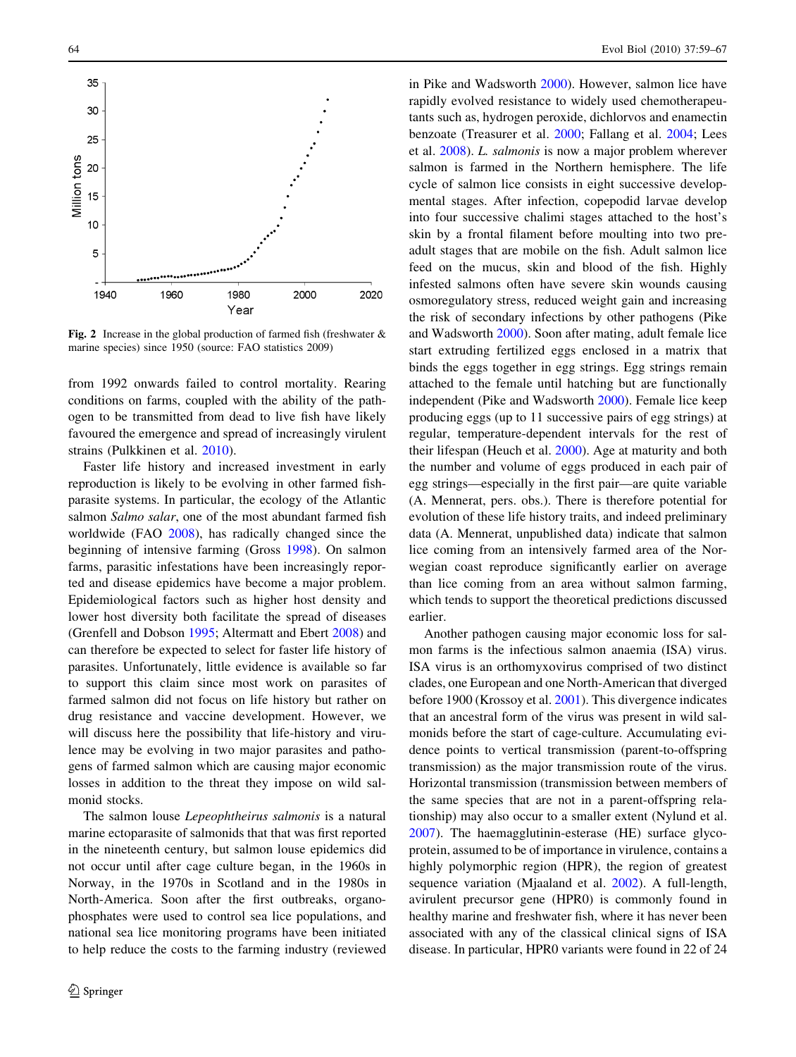<span id="page-5-0"></span>

Fig. 2 Increase in the global production of farmed fish (freshwater  $\&$ marine species) since 1950 (source: FAO statistics 2009)

from 1992 onwards failed to control mortality. Rearing conditions on farms, coupled with the ability of the pathogen to be transmitted from dead to live fish have likely favoured the emergence and spread of increasingly virulent strains (Pulkkinen et al. [2010](#page-8-0)).

Faster life history and increased investment in early reproduction is likely to be evolving in other farmed fishparasite systems. In particular, the ecology of the Atlantic salmon Salmo salar, one of the most abundant farmed fish worldwide (FAO [2008\)](#page-7-0), has radically changed since the beginning of intensive farming (Gross [1998](#page-7-0)). On salmon farms, parasitic infestations have been increasingly reported and disease epidemics have become a major problem. Epidemiological factors such as higher host density and lower host diversity both facilitate the spread of diseases (Grenfell and Dobson [1995;](#page-7-0) Altermatt and Ebert [2008\)](#page-6-0) and can therefore be expected to select for faster life history of parasites. Unfortunately, little evidence is available so far to support this claim since most work on parasites of farmed salmon did not focus on life history but rather on drug resistance and vaccine development. However, we will discuss here the possibility that life-history and virulence may be evolving in two major parasites and pathogens of farmed salmon which are causing major economic losses in addition to the threat they impose on wild salmonid stocks.

The salmon louse Lepeophtheirus salmonis is a natural marine ectoparasite of salmonids that that was first reported in the nineteenth century, but salmon louse epidemics did not occur until after cage culture began, in the 1960s in Norway, in the 1970s in Scotland and in the 1980s in North-America. Soon after the first outbreaks, organophosphates were used to control sea lice populations, and national sea lice monitoring programs have been initiated to help reduce the costs to the farming industry (reviewed in Pike and Wadsworth [2000\)](#page-8-0). However, salmon lice have rapidly evolved resistance to widely used chemotherapeutants such as, hydrogen peroxide, dichlorvos and enamectin benzoate (Treasurer et al. [2000;](#page-8-0) Fallang et al. [2004;](#page-7-0) Lees et al. [2008](#page-7-0)). L. salmonis is now a major problem wherever salmon is farmed in the Northern hemisphere. The life cycle of salmon lice consists in eight successive developmental stages. After infection, copepodid larvae develop into four successive chalimi stages attached to the host's skin by a frontal filament before moulting into two preadult stages that are mobile on the fish. Adult salmon lice feed on the mucus, skin and blood of the fish. Highly infested salmons often have severe skin wounds causing osmoregulatory stress, reduced weight gain and increasing the risk of secondary infections by other pathogens (Pike and Wadsworth [2000\)](#page-8-0). Soon after mating, adult female lice start extruding fertilized eggs enclosed in a matrix that binds the eggs together in egg strings. Egg strings remain attached to the female until hatching but are functionally independent (Pike and Wadsworth [2000](#page-8-0)). Female lice keep producing eggs (up to 11 successive pairs of egg strings) at regular, temperature-dependent intervals for the rest of their lifespan (Heuch et al. [2000\)](#page-7-0). Age at maturity and both the number and volume of eggs produced in each pair of egg strings—especially in the first pair—are quite variable (A. Mennerat, pers. obs.). There is therefore potential for evolution of these life history traits, and indeed preliminary data (A. Mennerat, unpublished data) indicate that salmon lice coming from an intensively farmed area of the Norwegian coast reproduce significantly earlier on average than lice coming from an area without salmon farming, which tends to support the theoretical predictions discussed earlier.

Another pathogen causing major economic loss for salmon farms is the infectious salmon anaemia (ISA) virus. ISA virus is an orthomyxovirus comprised of two distinct clades, one European and one North-American that diverged before 1900 (Krossoy et al. [2001](#page-7-0)). This divergence indicates that an ancestral form of the virus was present in wild salmonids before the start of cage-culture. Accumulating evidence points to vertical transmission (parent-to-offspring transmission) as the major transmission route of the virus. Horizontal transmission (transmission between members of the same species that are not in a parent-offspring relationship) may also occur to a smaller extent (Nylund et al. [2007](#page-8-0)). The haemagglutinin-esterase (HE) surface glycoprotein, assumed to be of importance in virulence, contains a highly polymorphic region (HPR), the region of greatest sequence variation (Mjaaland et al. [2002\)](#page-8-0). A full-length, avirulent precursor gene (HPR0) is commonly found in healthy marine and freshwater fish, where it has never been associated with any of the classical clinical signs of ISA disease. In particular, HPR0 variants were found in 22 of 24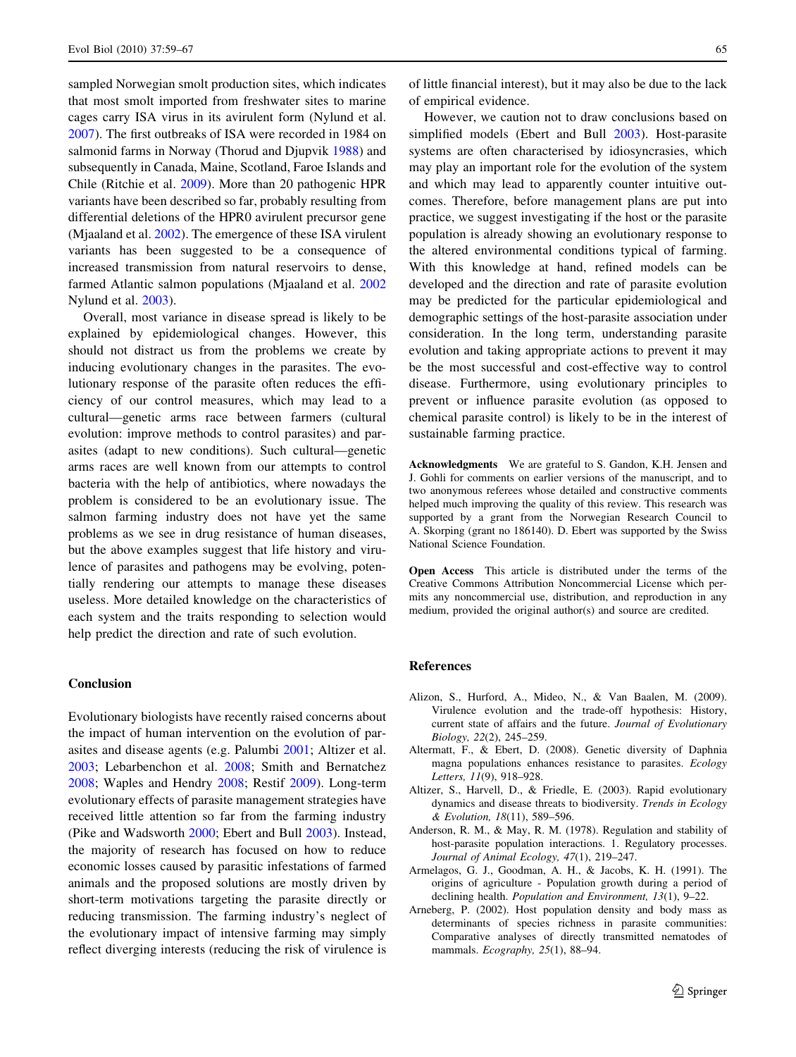<span id="page-6-0"></span>sampled Norwegian smolt production sites, which indicates that most smolt imported from freshwater sites to marine cages carry ISA virus in its avirulent form (Nylund et al. [2007\)](#page-8-0). The first outbreaks of ISA were recorded in 1984 on salmonid farms in Norway (Thorud and Djupvik [1988\)](#page-8-0) and subsequently in Canada, Maine, Scotland, Faroe Islands and Chile (Ritchie et al. [2009\)](#page-8-0). More than 20 pathogenic HPR variants have been described so far, probably resulting from differential deletions of the HPR0 avirulent precursor gene (Mjaaland et al. [2002](#page-8-0)). The emergence of these ISA virulent variants has been suggested to be a consequence of increased transmission from natural reservoirs to dense, farmed Atlantic salmon populations (Mjaaland et al. [2002](#page-8-0) Nylund et al. [2003](#page-8-0)).

Overall, most variance in disease spread is likely to be explained by epidemiological changes. However, this should not distract us from the problems we create by inducing evolutionary changes in the parasites. The evolutionary response of the parasite often reduces the efficiency of our control measures, which may lead to a cultural—genetic arms race between farmers (cultural evolution: improve methods to control parasites) and parasites (adapt to new conditions). Such cultural—genetic arms races are well known from our attempts to control bacteria with the help of antibiotics, where nowadays the problem is considered to be an evolutionary issue. The salmon farming industry does not have yet the same problems as we see in drug resistance of human diseases, but the above examples suggest that life history and virulence of parasites and pathogens may be evolving, potentially rendering our attempts to manage these diseases useless. More detailed knowledge on the characteristics of each system and the traits responding to selection would help predict the direction and rate of such evolution.

### Conclusion

Evolutionary biologists have recently raised concerns about the impact of human intervention on the evolution of parasites and disease agents (e.g. Palumbi [2001](#page-8-0); Altizer et al. 2003; Lebarbenchon et al. [2008;](#page-7-0) Smith and Bernatchez [2008;](#page-8-0) Waples and Hendry [2008;](#page-8-0) Restif [2009\)](#page-8-0). Long-term evolutionary effects of parasite management strategies have received little attention so far from the farming industry (Pike and Wadsworth [2000](#page-8-0); Ebert and Bull [2003](#page-7-0)). Instead, the majority of research has focused on how to reduce economic losses caused by parasitic infestations of farmed animals and the proposed solutions are mostly driven by short-term motivations targeting the parasite directly or reducing transmission. The farming industry's neglect of the evolutionary impact of intensive farming may simply reflect diverging interests (reducing the risk of virulence is

of little financial interest), but it may also be due to the lack of empirical evidence.

However, we caution not to draw conclusions based on simplified models (Ebert and Bull [2003\)](#page-7-0). Host-parasite systems are often characterised by idiosyncrasies, which may play an important role for the evolution of the system and which may lead to apparently counter intuitive outcomes. Therefore, before management plans are put into practice, we suggest investigating if the host or the parasite population is already showing an evolutionary response to the altered environmental conditions typical of farming. With this knowledge at hand, refined models can be developed and the direction and rate of parasite evolution may be predicted for the particular epidemiological and demographic settings of the host-parasite association under consideration. In the long term, understanding parasite evolution and taking appropriate actions to prevent it may be the most successful and cost-effective way to control disease. Furthermore, using evolutionary principles to prevent or influence parasite evolution (as opposed to chemical parasite control) is likely to be in the interest of sustainable farming practice.

Acknowledgments We are grateful to S. Gandon, K.H. Jensen and J. Gohli for comments on earlier versions of the manuscript, and to two anonymous referees whose detailed and constructive comments helped much improving the quality of this review. This research was supported by a grant from the Norwegian Research Council to A. Skorping (grant no 186140). D. Ebert was supported by the Swiss National Science Foundation.

Open Access This article is distributed under the terms of the Creative Commons Attribution Noncommercial License which permits any noncommercial use, distribution, and reproduction in any medium, provided the original author(s) and source are credited.

# References

- Alizon, S., Hurford, A., Mideo, N., & Van Baalen, M. (2009). Virulence evolution and the trade-off hypothesis: History, current state of affairs and the future. Journal of Evolutionary Biology, 22(2), 245–259.
- Altermatt, F., & Ebert, D. (2008). Genetic diversity of Daphnia magna populations enhances resistance to parasites. Ecology Letters, 11(9), 918–928.
- Altizer, S., Harvell, D., & Friedle, E. (2003). Rapid evolutionary dynamics and disease threats to biodiversity. Trends in Ecology & Evolution, 18(11), 589–596.
- Anderson, R. M., & May, R. M. (1978). Regulation and stability of host-parasite population interactions. 1. Regulatory processes. Journal of Animal Ecology, 47(1), 219–247.
- Armelagos, G. J., Goodman, A. H., & Jacobs, K. H. (1991). The origins of agriculture - Population growth during a period of declining health. Population and Environment, 13(1), 9–22.
- Arneberg, P. (2002). Host population density and body mass as determinants of species richness in parasite communities: Comparative analyses of directly transmitted nematodes of mammals. Ecography, 25(1), 88-94.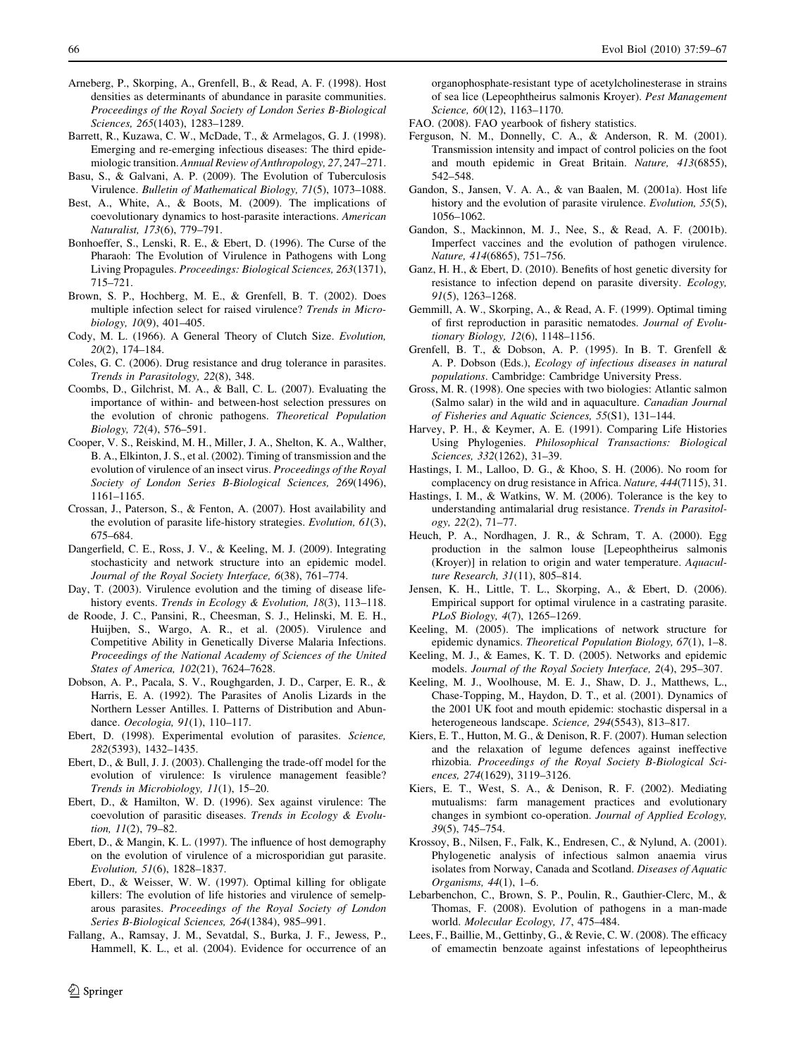- <span id="page-7-0"></span>Arneberg, P., Skorping, A., Grenfell, B., & Read, A. F. (1998). Host densities as determinants of abundance in parasite communities. Proceedings of the Royal Society of London Series B-Biological Sciences, 265(1403), 1283–1289.
- Barrett, R., Kuzawa, C. W., McDade, T., & Armelagos, G. J. (1998). Emerging and re-emerging infectious diseases: The third epidemiologic transition. Annual Review of Anthropology, 27, 247–271.
- Basu, S., & Galvani, A. P. (2009). The Evolution of Tuberculosis Virulence. Bulletin of Mathematical Biology, 71(5), 1073–1088.
- Best, A., White, A., & Boots, M. (2009). The implications of coevolutionary dynamics to host-parasite interactions. American Naturalist, 173(6), 779–791.
- Bonhoeffer, S., Lenski, R. E., & Ebert, D. (1996). The Curse of the Pharaoh: The Evolution of Virulence in Pathogens with Long Living Propagules. Proceedings: Biological Sciences, 263(1371), 715–721.
- Brown, S. P., Hochberg, M. E., & Grenfell, B. T. (2002). Does multiple infection select for raised virulence? Trends in Microbiology, 10(9), 401–405.
- Cody, M. L. (1966). A General Theory of Clutch Size. Evolution, 20(2), 174–184.
- Coles, G. C. (2006). Drug resistance and drug tolerance in parasites. Trends in Parasitology, 22(8), 348.
- Coombs, D., Gilchrist, M. A., & Ball, C. L. (2007). Evaluating the importance of within- and between-host selection pressures on the evolution of chronic pathogens. Theoretical Population Biology, 72(4), 576–591.
- Cooper, V. S., Reiskind, M. H., Miller, J. A., Shelton, K. A., Walther, B. A., Elkinton, J. S., et al. (2002). Timing of transmission and the evolution of virulence of an insect virus. Proceedings of the Royal Society of London Series B-Biological Sciences, 269(1496), 1161–1165.
- Crossan, J., Paterson, S., & Fenton, A. (2007). Host availability and the evolution of parasite life-history strategies. Evolution, 61(3), 675–684.
- Dangerfield, C. E., Ross, J. V., & Keeling, M. J. (2009). Integrating stochasticity and network structure into an epidemic model. Journal of the Royal Society Interface, 6(38), 761–774.
- Day, T. (2003). Virulence evolution and the timing of disease lifehistory events. Trends in Ecology & Evolution, 18(3), 113-118.
- de Roode, J. C., Pansini, R., Cheesman, S. J., Helinski, M. E. H., Huijben, S., Wargo, A. R., et al. (2005). Virulence and Competitive Ability in Genetically Diverse Malaria Infections. Proceedings of the National Academy of Sciences of the United States of America, 102(21), 7624–7628.
- Dobson, A. P., Pacala, S. V., Roughgarden, J. D., Carper, E. R., & Harris, E. A. (1992). The Parasites of Anolis Lizards in the Northern Lesser Antilles. I. Patterns of Distribution and Abundance. Oecologia, 91(1), 110–117.
- Ebert, D. (1998). Experimental evolution of parasites. Science, 282(5393), 1432–1435.
- Ebert, D., & Bull, J. J. (2003). Challenging the trade-off model for the evolution of virulence: Is virulence management feasible? Trends in Microbiology, 11(1), 15–20.
- Ebert, D., & Hamilton, W. D. (1996). Sex against virulence: The coevolution of parasitic diseases. Trends in Ecology & Evolution, 11(2), 79–82.
- Ebert, D., & Mangin, K. L. (1997). The influence of host demography on the evolution of virulence of a microsporidian gut parasite. Evolution, 51(6), 1828–1837.
- Ebert, D., & Weisser, W. W. (1997). Optimal killing for obligate killers: The evolution of life histories and virulence of semelparous parasites. Proceedings of the Royal Society of London Series B-Biological Sciences, 264(1384), 985–991.
- Fallang, A., Ramsay, J. M., Sevatdal, S., Burka, J. F., Jewess, P., Hammell, K. L., et al. (2004). Evidence for occurrence of an

organophosphate-resistant type of acetylcholinesterase in strains of sea lice (Lepeophtheirus salmonis Kroyer). Pest Management Science, 60(12), 1163–1170.

- FAO. (2008). FAO yearbook of fishery statistics.
- Ferguson, N. M., Donnelly, C. A., & Anderson, R. M. (2001). Transmission intensity and impact of control policies on the foot and mouth epidemic in Great Britain. Nature, 413(6855), 542–548.
- Gandon, S., Jansen, V. A. A., & van Baalen, M. (2001a). Host life history and the evolution of parasite virulence. Evolution, 55(5), 1056–1062.
- Gandon, S., Mackinnon, M. J., Nee, S., & Read, A. F. (2001b). Imperfect vaccines and the evolution of pathogen virulence. Nature, 414(6865), 751–756.
- Ganz, H. H., & Ebert, D. (2010). Benefits of host genetic diversity for resistance to infection depend on parasite diversity. Ecology, 91(5), 1263–1268.
- Gemmill, A. W., Skorping, A., & Read, A. F. (1999). Optimal timing of first reproduction in parasitic nematodes. Journal of Evolutionary Biology, 12(6), 1148–1156.
- Grenfell, B. T., & Dobson, A. P. (1995). In B. T. Grenfell & A. P. Dobson (Eds.), Ecology of infectious diseases in natural populations. Cambridge: Cambridge University Press.
- Gross, M. R. (1998). One species with two biologies: Atlantic salmon (Salmo salar) in the wild and in aquaculture. Canadian Journal of Fisheries and Aquatic Sciences, 55(S1), 131–144.
- Harvey, P. H., & Keymer, A. E. (1991). Comparing Life Histories Using Phylogenies. Philosophical Transactions: Biological Sciences, 332(1262), 31–39.
- Hastings, I. M., Lalloo, D. G., & Khoo, S. H. (2006). No room for complacency on drug resistance in Africa. Nature, 444(7115), 31.
- Hastings, I. M., & Watkins, W. M. (2006). Tolerance is the key to understanding antimalarial drug resistance. Trends in Parasitology, 22(2), 71–77.
- Heuch, P. A., Nordhagen, J. R., & Schram, T. A. (2000). Egg production in the salmon louse [Lepeophtheirus salmonis (Kroyer)] in relation to origin and water temperature. Aquaculture Research, 31(11), 805–814.
- Jensen, K. H., Little, T. L., Skorping, A., & Ebert, D. (2006). Empirical support for optimal virulence in a castrating parasite. PLoS Biology, 4(7), 1265–1269.
- Keeling, M. (2005). The implications of network structure for epidemic dynamics. Theoretical Population Biology, 67(1), 1–8.
- Keeling, M. J., & Eames, K. T. D. (2005). Networks and epidemic models. Journal of the Royal Society Interface, 2(4), 295–307.
- Keeling, M. J., Woolhouse, M. E. J., Shaw, D. J., Matthews, L., Chase-Topping, M., Haydon, D. T., et al. (2001). Dynamics of the 2001 UK foot and mouth epidemic: stochastic dispersal in a heterogeneous landscape. Science, 294(5543), 813–817.
- Kiers, E. T., Hutton, M. G., & Denison, R. F. (2007). Human selection and the relaxation of legume defences against ineffective rhizobia. Proceedings of the Royal Society B-Biological Sciences, 274(1629), 3119–3126.
- Kiers, E. T., West, S. A., & Denison, R. F. (2002). Mediating mutualisms: farm management practices and evolutionary changes in symbiont co-operation. Journal of Applied Ecology, 39(5), 745–754.
- Krossoy, B., Nilsen, F., Falk, K., Endresen, C., & Nylund, A. (2001). Phylogenetic analysis of infectious salmon anaemia virus isolates from Norway, Canada and Scotland. Diseases of Aquatic Organisms, 44(1), 1–6.
- Lebarbenchon, C., Brown, S. P., Poulin, R., Gauthier-Clerc, M., & Thomas, F. (2008). Evolution of pathogens in a man-made world. Molecular Ecology, 17, 475–484.
- Lees, F., Baillie, M., Gettinby, G., & Revie, C. W. (2008). The efficacy of emamectin benzoate against infestations of lepeophtheirus